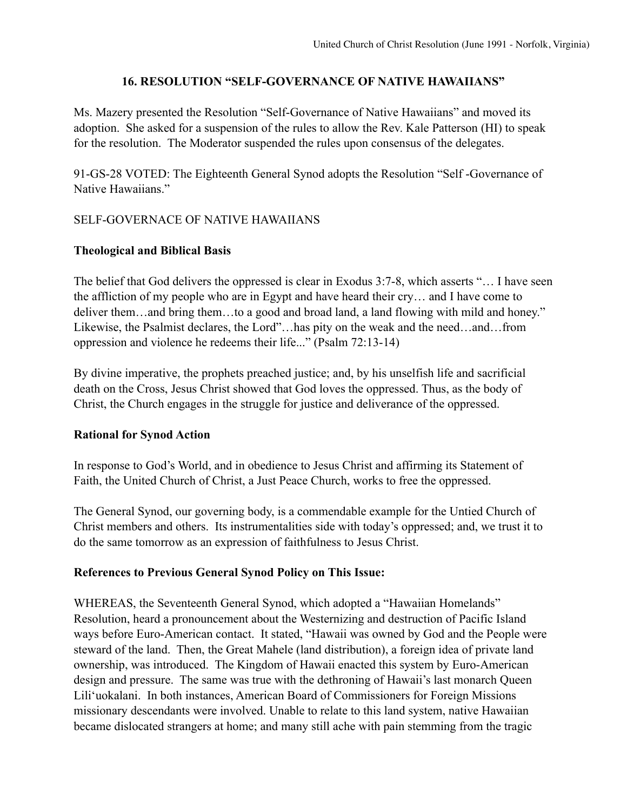# **16. RESOLUTION "SELF-GOVERNANCE OF NATIVE HAWAIIANS"**

Ms. Mazery presented the Resolution "Self-Governance of Native Hawaiians" and moved its adoption. She asked for a suspension of the rules to allow the Rev. Kale Patterson (HI) to speak for the resolution. The Moderator suspended the rules upon consensus of the delegates.

91-GS-28 VOTED: The Eighteenth General Synod adopts the Resolution "Self -Governance of Native Hawaiians."

# SELF-GOVERNACE OF NATIVE HAWAIIANS

### **Theological and Biblical Basis**

The belief that God delivers the oppressed is clear in Exodus 3:7-8, which asserts "… I have seen the affliction of my people who are in Egypt and have heard their cry… and I have come to deliver them…and bring them…to a good and broad land, a land flowing with mild and honey." Likewise, the Psalmist declares, the Lord"…has pity on the weak and the need…and…from oppression and violence he redeems their life..." (Psalm 72:13-14)

By divine imperative, the prophets preached justice; and, by his unselfish life and sacrificial death on the Cross, Jesus Christ showed that God loves the oppressed. Thus, as the body of Christ, the Church engages in the struggle for justice and deliverance of the oppressed.

### **Rational for Synod Action**

In response to God's World, and in obedience to Jesus Christ and affirming its Statement of Faith, the United Church of Christ, a Just Peace Church, works to free the oppressed.

The General Synod, our governing body, is a commendable example for the Untied Church of Christ members and others. Its instrumentalities side with today's oppressed; and, we trust it to do the same tomorrow as an expression of faithfulness to Jesus Christ.

### **References to Previous General Synod Policy on This Issue:**

WHEREAS, the Seventeenth General Synod, which adopted a "Hawaiian Homelands" Resolution, heard a pronouncement about the Westernizing and destruction of Pacific Island ways before Euro-American contact. It stated, "Hawaii was owned by God and the People were steward of the land. Then, the Great Mahele (land distribution), a foreign idea of private land ownership, was introduced. The Kingdom of Hawaii enacted this system by Euro-American design and pressure. The same was true with the dethroning of Hawaii's last monarch Queen Lili'uokalani. In both instances, American Board of Commissioners for Foreign Missions missionary descendants were involved. Unable to relate to this land system, native Hawaiian became dislocated strangers at home; and many still ache with pain stemming from the tragic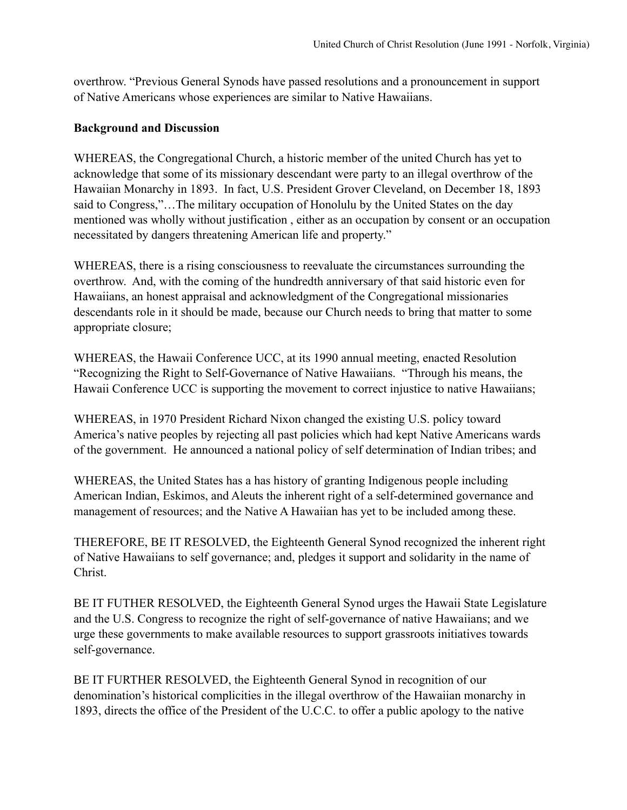overthrow. "Previous General Synods have passed resolutions and a pronouncement in support of Native Americans whose experiences are similar to Native Hawaiians.

# **Background and Discussion**

WHEREAS, the Congregational Church, a historic member of the united Church has yet to acknowledge that some of its missionary descendant were party to an illegal overthrow of the Hawaiian Monarchy in 1893. In fact, U.S. President Grover Cleveland, on December 18, 1893 said to Congress,"…The military occupation of Honolulu by the United States on the day mentioned was wholly without justification , either as an occupation by consent or an occupation necessitated by dangers threatening American life and property."

WHEREAS, there is a rising consciousness to reevaluate the circumstances surrounding the overthrow. And, with the coming of the hundredth anniversary of that said historic even for Hawaiians, an honest appraisal and acknowledgment of the Congregational missionaries descendants role in it should be made, because our Church needs to bring that matter to some appropriate closure;

WHEREAS, the Hawaii Conference UCC, at its 1990 annual meeting, enacted Resolution "Recognizing the Right to Self-Governance of Native Hawaiians. "Through his means, the Hawaii Conference UCC is supporting the movement to correct injustice to native Hawaiians;

WHEREAS, in 1970 President Richard Nixon changed the existing U.S. policy toward America's native peoples by rejecting all past policies which had kept Native Americans wards of the government. He announced a national policy of self determination of Indian tribes; and

WHEREAS, the United States has a has history of granting Indigenous people including American Indian, Eskimos, and Aleuts the inherent right of a self-determined governance and management of resources; and the Native A Hawaiian has yet to be included among these.

THEREFORE, BE IT RESOLVED, the Eighteenth General Synod recognized the inherent right of Native Hawaiians to self governance; and, pledges it support and solidarity in the name of Christ.

BE IT FUTHER RESOLVED, the Eighteenth General Synod urges the Hawaii State Legislature and the U.S. Congress to recognize the right of self-governance of native Hawaiians; and we urge these governments to make available resources to support grassroots initiatives towards self-governance.

BE IT FURTHER RESOLVED, the Eighteenth General Synod in recognition of our denomination's historical complicities in the illegal overthrow of the Hawaiian monarchy in 1893, directs the office of the President of the U.C.C. to offer a public apology to the native